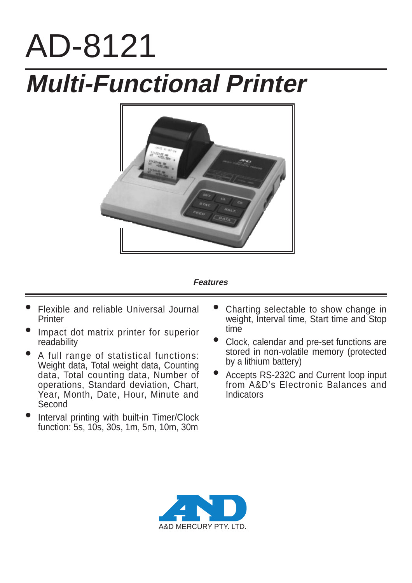# AD-8121 **Multi-Functional Printer**



#### **Features**

- Flexible and reliable Universal Journal **Printer**
- Impact dot matrix printer for superior readability
- A full range of statistical functions: Weight data, Total weight data, Counting data, Total counting data, Number of operations, Standard deviation, Chart, Year, Month, Date, Hour, Minute and **Second**
- Interval printing with built-in Timer/Clock function: 5s, 10s, 30s, 1m, 5m, 10m, 30m
- Charting selectable to show change in weight, Interval time, Start time and Stop time
- Clock, calendar and pre-set functions are stored in non-volatile memory (protected by a lithium battery)
- Accepts RS-232C and Current loop input from A&D's Electronic Balances and Indicators